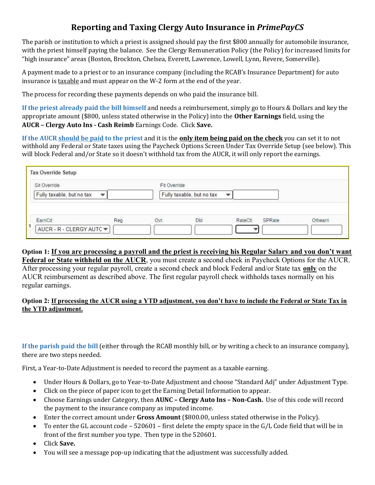## Reporting and Taxing Clergy Auto Insurance in PrimePayCS

The parish or institution to which a priest is assigned should pay the first \$800 annually for automobile insurance, with the priest himself paying the balance. See the Clergy Remuneration Policy (the Policy) for increased limits for "high insurance" areas (Boston, Brockton, Chelsea, Everett, Lawrence, Lowell, Lynn, Revere, Somerville).

A payment made to a priest or to an insurance company (including the RCAB's Insurance Department) for auto insurance is taxable and must appear on the W-2 form at the end of the year.

The process for recording these payments depends on who paid the insurance bill.

If the priest already paid the bill himself and needs a reimbursement, simply go to Hours & Dollars and key the appropriate amount (\$800, unless stated otherwise in the Policy) into the Other Earnings field, using the AUCR – Clergy Auto Ins - Cash Reimb Earnings Code. Click Save.

If the AUCR should be paid to the priest and it is the **only item being paid on the check** you can set it to not withhold any Federal or State taxes using the Paycheck Options Screen Under Tax Override Setup (see below). This will block Federal and/or State so it doesn't withhold tax from the AUCR, it will only report the earnings.

| Sit Override              |              | Fit Override              |     |         |        |         |
|---------------------------|--------------|---------------------------|-----|---------|--------|---------|
| Fully taxable, but no tax | $\mathbf{v}$ | Fully taxable, but no tax |     |         |        |         |
|                           |              |                           |     |         |        |         |
|                           |              |                           |     |         |        |         |
|                           |              |                           |     |         |        |         |
| EarnCd                    | Reg          | Ovt                       | Dbl | RateCtl | SPRate | Othearn |

## Option 1: If you are processing a payroll and the priest is receiving his Regular Salary and you don't want

Federal or State withheld on the AUCR, you must create a second check in Paycheck Options for the AUCR. After processing your regular payroll, create a second check and block Federal and/or State tax only on the AUCR reimbursement as described above. The first regular payroll check withholds taxes normally on his regular earnings.

## Option 2: If processing the AUCR using a YTD adjustment, you don't have to include the Federal or State Tax in the YTD adjustment.

If the parish paid the bill (either through the RCAB monthly bill, or by writing a check to an insurance company), there are two steps needed.

First, a Year-to-Date Adjustment is needed to record the payment as a taxable earning.

- Under Hours & Dollars, go to Year-to-Date Adjustment and choose "Standard Adj" under Adjustment Type.
- Click on the piece of paper icon to get the Earning Detail Information to appear.
- Choose Earnings under Category, then **AUNC Clergy Auto Ins Non-Cash.** Use of this code will record the payment to the insurance company as imputed income.
- Enter the correct amount under Gross Amount (\$800.00, unless stated otherwise in the Policy).
- To enter the GL account code 520601 first delete the empty space in the G/L Code field that will be in front of the first number you type. Then type in the 520601.
- Click Save.
- You will see a message pop-up indicating that the adjustment was successfully added.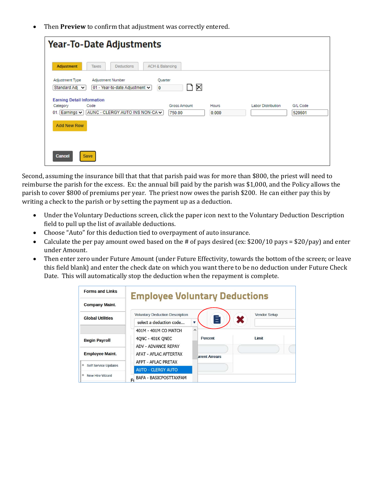Then Preview to confirm that adjustment was correctly entered.

| <b>Adjustment</b>                                                      | <b>Year-To-Date Adjustments</b><br>Taxes<br><b>Deductions</b> | <b>ACH &amp; Balancing</b>                       |       |                           |          |
|------------------------------------------------------------------------|---------------------------------------------------------------|--------------------------------------------------|-------|---------------------------|----------|
| Adjustment Type<br>Standard Adj v<br><b>Earning Detail Information</b> | Adjustment Number<br>01 - Year-to-date Adjustment ↓           | Quarter<br>$\boldsymbol{\times}$<br>$\mathbf{0}$ |       |                           |          |
| Category                                                               | Code                                                          | <b>Gross Amount</b>                              | Hours | <b>Labor Distribution</b> | G/L Code |
| Earnings $\vee$<br>01                                                  | AUNC - CLERGY AUTO INS NON-CA V                               | 750.00                                           | 0.000 |                           | 520601   |
| <b>Add New Row</b>                                                     |                                                               |                                                  |       |                           |          |
|                                                                        |                                                               |                                                  |       |                           |          |
| <b>Cancel</b><br><b>Save</b>                                           |                                                               |                                                  |       |                           |          |

Second, assuming the insurance bill that that that parish paid was for more than \$800, the priest will need to reimburse the parish for the excess. Ex: the annual bill paid by the parish was \$1,000, and the Policy allows the parish to cover \$800 of premiums per year. The priest now owes the parish \$200. He can either pay this by writing a check to the parish or by setting the payment up as a deduction.

- Under the Voluntary Deductions screen, click the paper icon next to the Voluntary Deduction Description field to pull up the list of available deductions.
- Choose "Auto" for this deduction tied to overpayment of auto insurance.
- Calculate the per pay amount owed based on the # of pays desired (ex: \$200/10 pays = \$20/pay) and enter under Amount.
- Then enter zero under Future Amount (under Future Effectivity, towards the bottom of the screen; or leave this field blank) and enter the check date on which you want there to be no deduction under Future Check Date. This will automatically stop the deduction when the repayment is complete.

| <b>Forms and Links</b>    | <b>Employee Voluntary Deductions</b>   |                       |                     |  |
|---------------------------|----------------------------------------|-----------------------|---------------------|--|
| <b>Company Maint.</b>     |                                        |                       |                     |  |
| <b>Global Utilities</b>   | <b>Voluntary Deduction Description</b> |                       | <b>Vendor Setup</b> |  |
|                           | select a deduction code                | E<br>v                | ×                   |  |
|                           | 401M - 401M CO MATCH                   | $\wedge$              |                     |  |
| <b>Begin Payroll</b>      | 40NC - 401K ONEC                       | Percent               | <b>Limit</b>        |  |
|                           | <b>ADV - ADVANCE REPAY</b>             |                       |                     |  |
| <b>Employee Maint.</b>    | AFAT - AFLAC AFTERTAX                  | <b>urrent Arrears</b> |                     |  |
| ø<br>Self Service Updates | AFPT - AFLAC PRETAX                    |                       |                     |  |
|                           | <b>AUTO - CLERGY AUTO</b>              |                       |                     |  |
| ۰<br>New Hire Wizard      | BAFA - BASICPOSTTAXFAM<br>Fı           |                       |                     |  |